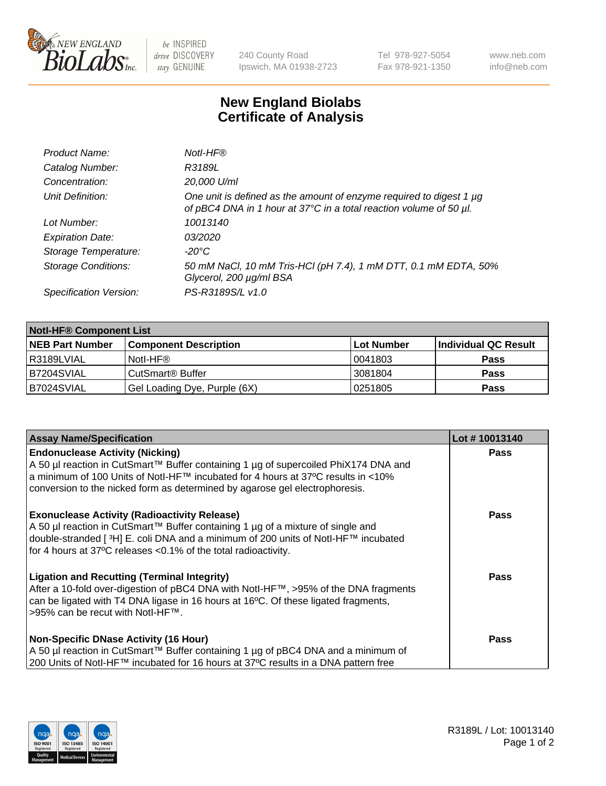

 $be$  INSPIRED drive DISCOVERY stay GENUINE

240 County Road Ipswich, MA 01938-2723 Tel 978-927-5054 Fax 978-921-1350 www.neb.com info@neb.com

## **New England Biolabs Certificate of Analysis**

| Product Name:              | Notl-HF®                                                                                                                                  |
|----------------------------|-------------------------------------------------------------------------------------------------------------------------------------------|
| Catalog Number:            | R3189L                                                                                                                                    |
| Concentration:             | 20,000 U/ml                                                                                                                               |
| Unit Definition:           | One unit is defined as the amount of enzyme required to digest 1 µg<br>of pBC4 DNA in 1 hour at 37°C in a total reaction volume of 50 µl. |
| Lot Number:                | 10013140                                                                                                                                  |
| <b>Expiration Date:</b>    | 03/2020                                                                                                                                   |
| Storage Temperature:       | -20°C                                                                                                                                     |
| <b>Storage Conditions:</b> | 50 mM NaCl, 10 mM Tris-HCl (pH 7.4), 1 mM DTT, 0.1 mM EDTA, 50%<br>Glycerol, 200 µg/ml BSA                                                |
| Specification Version:     | PS-R3189S/L v1.0                                                                                                                          |

| <b>Notl-HF® Component List</b> |                              |            |                      |  |
|--------------------------------|------------------------------|------------|----------------------|--|
| <b>NEB Part Number</b>         | <b>Component Description</b> | Lot Number | Individual QC Result |  |
| I R3189LVIAL                   | Notl-HF®                     | 10041803   | <b>Pass</b>          |  |
| B7204SVIAL                     | CutSmart <sup>®</sup> Buffer | 3081804    | <b>Pass</b>          |  |
| B7024SVIAL                     | Gel Loading Dye, Purple (6X) | 10251805   | <b>Pass</b>          |  |

| <b>Assay Name/Specification</b>                                                                                                                                                                                                                                                               | Lot #10013140 |
|-----------------------------------------------------------------------------------------------------------------------------------------------------------------------------------------------------------------------------------------------------------------------------------------------|---------------|
| <b>Endonuclease Activity (Nicking)</b><br>A 50 µl reaction in CutSmart™ Buffer containing 1 µg of supercoiled PhiX174 DNA and                                                                                                                                                                 | <b>Pass</b>   |
| a minimum of 100 Units of Notl-HF™ incubated for 4 hours at 37°C results in <10%<br>conversion to the nicked form as determined by agarose gel electrophoresis.                                                                                                                               |               |
| <b>Exonuclease Activity (Radioactivity Release)</b><br>A 50 µl reaction in CutSmart™ Buffer containing 1 µg of a mixture of single and<br>double-stranded [3H] E. coli DNA and a minimum of 200 units of Notl-HF™ incubated<br>for 4 hours at 37°C releases <0.1% of the total radioactivity. | <b>Pass</b>   |
| <b>Ligation and Recutting (Terminal Integrity)</b><br>After a 10-fold over-digestion of pBC4 DNA with Notl-HF™, >95% of the DNA fragments<br>can be ligated with T4 DNA ligase in 16 hours at 16 $\degree$ C. Of these ligated fragments,<br>1>95% can be recut with NotI-HF™.                | Pass          |
| <b>Non-Specific DNase Activity (16 Hour)</b><br>A 50 µl reaction in CutSmart™ Buffer containing 1 µg of pBC4 DNA and a minimum of<br>200 Units of NotI-HF™ incubated for 16 hours at 37°C results in a DNA pattern free                                                                       | Pass          |